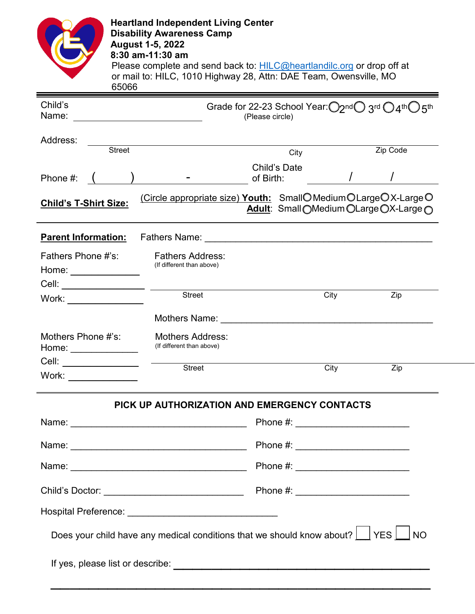| 65066                                                                          | <b>Heartland Independent Living Center</b><br><b>Disability Awareness Camp</b><br><b>August 1-5, 2022</b><br>8:30 am-11:30 am<br>Please complete and send back to: HILC@heartlandilc.org or drop off at<br>or mail to: HILC, 1010 Highway 28, Attn: DAE Team, Owensville, MO |                           |                                        |                  |                                                 |  |
|--------------------------------------------------------------------------------|------------------------------------------------------------------------------------------------------------------------------------------------------------------------------------------------------------------------------------------------------------------------------|---------------------------|----------------------------------------|------------------|-------------------------------------------------|--|
| Child's<br>Name:                                                               |                                                                                                                                                                                                                                                                              | (Please circle)           |                                        |                  | Grade for 22-23 School Year: O2ndO 3rd O4thO5th |  |
| Address:<br><b>Street</b>                                                      |                                                                                                                                                                                                                                                                              |                           | City                                   |                  | Zip Code                                        |  |
| Phone $#:$ (                                                                   |                                                                                                                                                                                                                                                                              | Child's Date<br>of Birth: |                                        |                  |                                                 |  |
| <b>Child's T-Shirt Size:</b>                                                   | (Circle appropriate size) Youth: SmallOMediumOLargeOX-LargeO                                                                                                                                                                                                                 |                           |                                        |                  | Adult: Small OMedium OLarge OX-Large O          |  |
| <b>Parent Information:</b>                                                     | Fathers Name: <u>Denomination and the contract of the contract of the contract of the contract of the contract of the contract of the contract of the contract of the contract of the contract of the contract of the contract o</u>                                         |                           |                                        |                  |                                                 |  |
| Fathers Phone #'s:<br>Home: _______________                                    | <b>Fathers Address:</b><br>(If different than above)                                                                                                                                                                                                                         |                           |                                        |                  |                                                 |  |
| Work: _______________                                                          | Street                                                                                                                                                                                                                                                                       |                           | City                                   |                  | Zip                                             |  |
|                                                                                | Mothers Name: The Contract of the Contract of the Contract of the Contract of the Contract of the Contract of the Contract of the Contract of the Contract of the Contract of the Contract of the Contract of the Contract of                                                |                           |                                        |                  |                                                 |  |
| Mothers Phone #'s:<br>Home: _______________                                    | <b>Mothers Address:</b><br>(If different than above)                                                                                                                                                                                                                         |                           |                                        |                  |                                                 |  |
| Cell:<br><u> 1989 - Johann Barn, fransk politik (</u><br>Work: $\qquad \qquad$ | Street                                                                                                                                                                                                                                                                       |                           |                                        | <b>City City</b> | $\overline{Zip}$                                |  |
|                                                                                | PICK UP AUTHORIZATION AND EMERGENCY CONTACTS                                                                                                                                                                                                                                 |                           |                                        |                  |                                                 |  |
|                                                                                |                                                                                                                                                                                                                                                                              |                           | Phone #: _____________________________ |                  |                                                 |  |
|                                                                                |                                                                                                                                                                                                                                                                              |                           |                                        |                  |                                                 |  |
|                                                                                |                                                                                                                                                                                                                                                                              |                           |                                        |                  |                                                 |  |
|                                                                                |                                                                                                                                                                                                                                                                              |                           |                                        |                  |                                                 |  |
|                                                                                |                                                                                                                                                                                                                                                                              |                           |                                        |                  |                                                 |  |
|                                                                                | Does your child have any medical conditions that we should know about? $\Box$ YES $\Box$ NO                                                                                                                                                                                  |                           |                                        |                  |                                                 |  |
|                                                                                |                                                                                                                                                                                                                                                                              |                           |                                        |                  |                                                 |  |